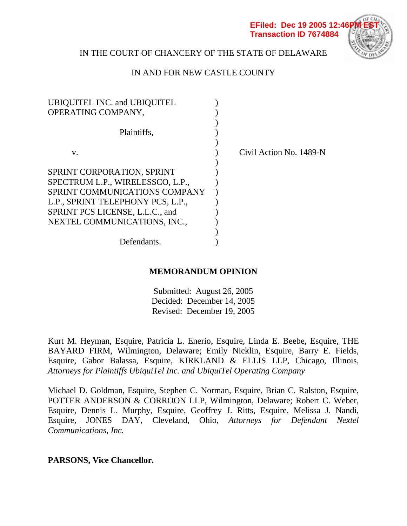

# IN THE COURT OF CHANCERY OF THE STATE OF DELAWARE

# IN AND FOR NEW CASTLE COUNTY

| <b>UBIQUITEL INC. and UBIQUITEL</b> |                         |
|-------------------------------------|-------------------------|
| OPERATING COMPANY,                  |                         |
| Plaintiffs,                         |                         |
| V.                                  | Civil Action No. 1489-N |
| SPRINT CORPORATION, SPRINT          |                         |
| SPECTRUM L.P., WIRELESSCO, L.P.,    |                         |
| SPRINT COMMUNICATIONS COMPANY       |                         |
| L.P., SPRINT TELEPHONY PCS, L.P.,   |                         |
| SPRINT PCS LICENSE, L.L.C., and     |                         |
| NEXTEL COMMUNICATIONS, INC.,        |                         |
|                                     |                         |
| Defendants.                         |                         |
|                                     |                         |

# **MEMORANDUM OPINION**

Submitted: August 26, 2005 Decided: December 14, 2005 Revised: December 19, 2005

Kurt M. Heyman, Esquire, Patricia L. Enerio, Esquire, Linda E. Beebe, Esquire, THE BAYARD FIRM, Wilmington, Delaware; Emily Nicklin, Esquire, Barry E. Fields, Esquire, Gabor Balassa, Esquire, KIRKLAND & ELLIS LLP, Chicago, Illinois, *Attorneys for Plaintiffs UbiquiTel Inc. and UbiquiTel Operating Company*

Michael D. Goldman, Esquire, Stephen C. Norman, Esquire, Brian C. Ralston, Esquire, POTTER ANDERSON & CORROON LLP, Wilmington, Delaware; Robert C. Weber, Esquire, Dennis L. Murphy, Esquire, Geoffrey J. Ritts, Esquire, Melissa J. Nandi, Esquire, JONES DAY, Cleveland, Ohio, *Attorneys for Defendant Nextel Communications, Inc.*

**PARSONS, Vice Chancellor.**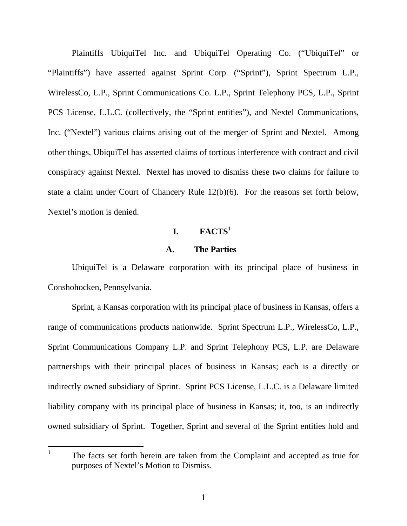Plaintiffs UbiquiTel Inc. and UbiquiTel Operating Co. ("UbiquiTel" or "Plaintiffs") have asserted against Sprint Corp. ("Sprint"), Sprint Spectrum L.P., WirelessCo, L.P., Sprint Communications Co. L.P., Sprint Telephony PCS, L.P., Sprint PCS License, L.L.C. (collectively, the "Sprint entities"), and Nextel Communications, Inc. ("Nextel") various claims arising out of the merger of Sprint and Nextel. Among other things, UbiquiTel has asserted claims of tortious interference with contract and civil conspiracy against Nextel. Nextel has moved to dismiss these two claims for failure to state a claim under Court of Chancery Rule 12(b)(6). For the reasons set forth below, Nextel's motion is denied.

## $I.$  **FACTS**<sup>1</sup>

#### **A. The Parties**

UbiquiTel is a Delaware corporation with its principal place of business in Conshohocken, Pennsylvania.

Sprint, a Kansas corporation with its principal place of business in Kansas, offers a range of communications products nationwide. Sprint Spectrum L.P., WirelessCo, L.P., Sprint Communications Company L.P. and Sprint Telephony PCS, L.P. are Delaware partnerships with their principal places of business in Kansas; each is a directly or indirectly owned subsidiary of Sprint. Sprint PCS License, L.L.C. is a Delaware limited liability company with its principal place of business in Kansas; it, too, is an indirectly owned subsidiary of Sprint. Together, Sprint and several of the Sprint entities hold and

<sup>1</sup> The facts set forth herein are taken from the Complaint and accepted as true for purposes of Nextel's Motion to Dismiss.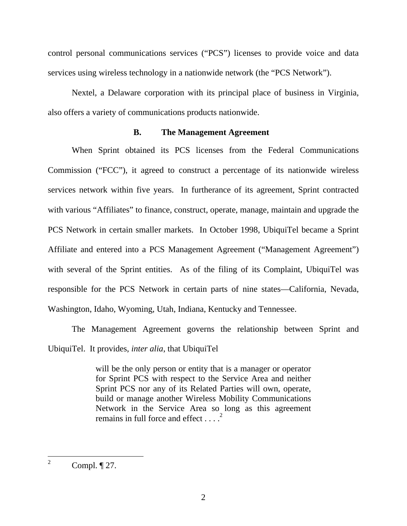control personal communications services ("PCS") licenses to provide voice and data services using wireless technology in a nationwide network (the "PCS Network").

Nextel, a Delaware corporation with its principal place of business in Virginia, also offers a variety of communications products nationwide.

#### **B. The Management Agreement**

When Sprint obtained its PCS licenses from the Federal Communications Commission ("FCC"), it agreed to construct a percentage of its nationwide wireless services network within five years. In furtherance of its agreement, Sprint contracted with various "Affiliates" to finance, construct, operate, manage, maintain and upgrade the PCS Network in certain smaller markets. In October 1998, UbiquiTel became a Sprint Affiliate and entered into a PCS Management Agreement ("Management Agreement") with several of the Sprint entities. As of the filing of its Complaint, UbiquiTel was responsible for the PCS Network in certain parts of nine states—California, Nevada, Washington, Idaho, Wyoming, Utah, Indiana, Kentucky and Tennessee.

The Management Agreement governs the relationship between Sprint and UbiquiTel. It provides, *inter alia*, that UbiquiTel

> will be the only person or entity that is a manager or operator for Sprint PCS with respect to the Service Area and neither Sprint PCS nor any of its Related Parties will own, operate, build or manage another Wireless Mobility Communications Network in the Service Area so long as this agreement remains in full force and effect . . . .<sup>2</sup>

<sup>2</sup> Compl. ¶ 27.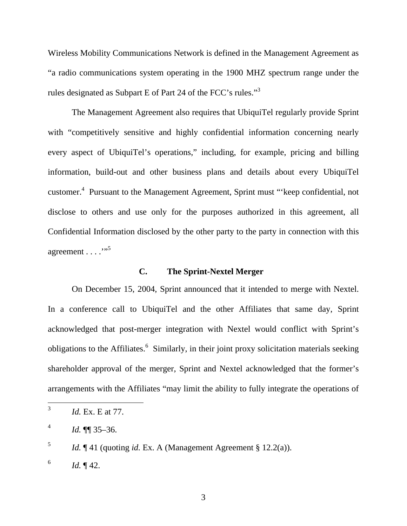Wireless Mobility Communications Network is defined in the Management Agreement as "a radio communications system operating in the 1900 MHZ spectrum range under the rules designated as Subpart E of Part 24 of the FCC's rules."<sup>3</sup>

The Management Agreement also requires that UbiquiTel regularly provide Sprint with "competitively sensitive and highly confidential information concerning nearly every aspect of UbiquiTel's operations," including, for example, pricing and billing information, build-out and other business plans and details about every UbiquiTel customer.<sup>4</sup> Pursuant to the Management Agreement, Sprint must "'keep confidential, not disclose to others and use only for the purposes authorized in this agreement, all Confidential Information disclosed by the other party to the party in connection with this agreement . . . . "<sup>5</sup>

#### **C. The Sprint-Nextel Merger**

On December 15, 2004, Sprint announced that it intended to merge with Nextel. In a conference call to UbiquiTel and the other Affiliates that same day, Sprint acknowledged that post-merger integration with Nextel would conflict with Sprint's obligations to the Affiliates.<sup>6</sup> Similarly, in their joint proxy solicitation materials seeking shareholder approval of the merger, Sprint and Nextel acknowledged that the former's arrangements with the Affiliates "may limit the ability to fully integrate the operations of

 $\overline{3}$ <sup>3</sup> *Id.* Ex. E at 77.

 $^{4}$  *Id.*  $\P$  35–36.

<sup>&</sup>lt;sup>5</sup> *Id.*  $\P$  41 (quoting *id.* Ex. A (Management Agreement § 12.2(a)).

 $1d. \P 42.$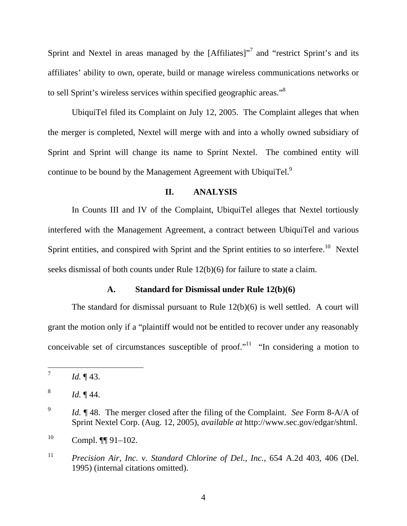Sprint and Nextel in areas managed by the  $[Affiliates]$ <sup>7</sup> and "restrict Sprint's and its affiliates' ability to own, operate, build or manage wireless communications networks or to sell Sprint's wireless services within specified geographic areas."8

UbiquiTel filed its Complaint on July 12, 2005. The Complaint alleges that when the merger is completed, Nextel will merge with and into a wholly owned subsidiary of Sprint and Sprint will change its name to Sprint Nextel. The combined entity will continue to be bound by the Management Agreement with UbiquiTel.<sup>9</sup>

#### **II. ANALYSIS**

In Counts III and IV of the Complaint, UbiquiTel alleges that Nextel tortiously interfered with the Management Agreement, a contract between UbiquiTel and various Sprint entities, and conspired with Sprint and the Sprint entities to so interfere.<sup>10</sup> Nextel seeks dismissal of both counts under Rule 12(b)(6) for failure to state a claim.

#### **A. Standard for Dismissal under Rule 12(b)(6)**

The standard for dismissal pursuant to Rule 12(b)(6) is well settled. A court will grant the motion only if a "plaintiff would not be entitled to recover under any reasonably conceivable set of circumstances susceptible of proof."<sup>11</sup> "In considering a motion to

 $\overline{7}$ *Id.* 143.

 $^{8}$  *Id.* 144.

<sup>9</sup> *Id.* ¶ 48. The merger closed after the filing of the Complaint. *See* Form 8-A/A of Sprint Nextel Corp. (Aug. 12, 2005), *available at* http://www.sec.gov/edgar/shtml.

 $^{10}$  Compl. ¶[91-102.

<sup>&</sup>lt;sup>11</sup> *Precision Air, Inc. v. Standard Chlorine of Del., Inc.*, 654 A.2d 403, 406 (Del. 1995) (internal citations omitted).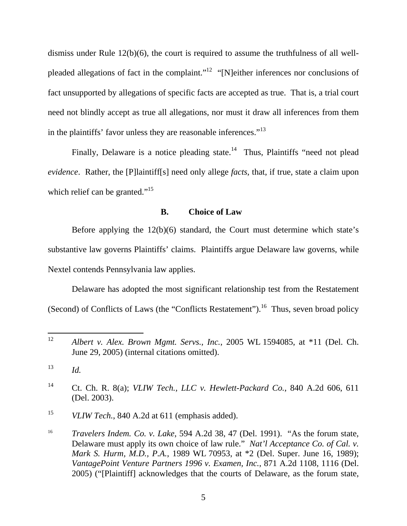dismiss under Rule 12(b)(6), the court is required to assume the truthfulness of all wellpleaded allegations of fact in the complaint."<sup>12</sup> "[N]either inferences nor conclusions of fact unsupported by allegations of specific facts are accepted as true. That is, a trial court need not blindly accept as true all allegations, nor must it draw all inferences from them in the plaintiffs' favor unless they are reasonable inferences."<sup>13</sup>

Finally, Delaware is a notice pleading state.<sup>14</sup> Thus, Plaintiffs "need not plead *evidence*. Rather, the [P]laintiff[s] need only allege *facts*, that, if true, state a claim upon which relief can be granted."<sup>15</sup>

#### **B. Choice of Law**

Before applying the 12(b)(6) standard, the Court must determine which state's substantive law governs Plaintiffs' claims. Plaintiffs argue Delaware law governs, while Nextel contends Pennsylvania law applies.

Delaware has adopted the most significant relationship test from the Restatement (Second) of Conflicts of Laws (the "Conflicts Restatement").<sup>16</sup> Thus, seven broad policy

 $12 \,$ <sup>12</sup> *Albert v. Alex. Brown Mgmt. Servs., Inc.*, 2005 WL 1594085, at \*11 (Del. Ch. June 29, 2005) (internal citations omitted).

 $13$  *Id.* 

<sup>14</sup> Ct. Ch. R. 8(a); *VLIW Tech., LLC v. Hewlett-Packard Co.*, 840 A.2d 606, 611 (Del. 2003).

<sup>&</sup>lt;sup>15</sup> *VLIW Tech.*, 840 A.2d at 611 (emphasis added).

<sup>16</sup> *Travelers Indem. Co. v. Lake*, 594 A.2d 38, 47 (Del. 1991). "As the forum state, Delaware must apply its own choice of law rule." *Nat'l Acceptance Co. of Cal. v. Mark S. Hurm, M.D., P.A.*, 1989 WL 70953, at \*2 (Del. Super. June 16, 1989); *VantagePoint Venture Partners 1996 v. Examen, Inc.*, 871 A.2d 1108, 1116 (Del. 2005) ("[Plaintiff] acknowledges that the courts of Delaware, as the forum state,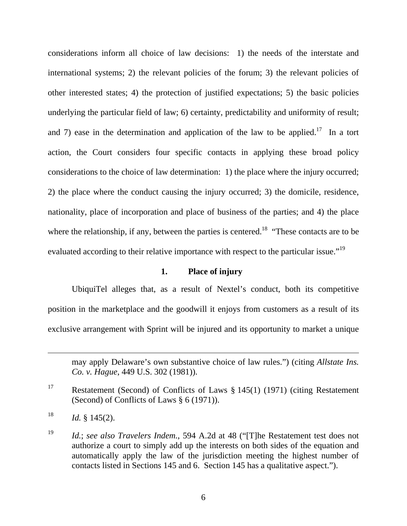considerations inform all choice of law decisions: 1) the needs of the interstate and international systems; 2) the relevant policies of the forum; 3) the relevant policies of other interested states; 4) the protection of justified expectations; 5) the basic policies underlying the particular field of law; 6) certainty, predictability and uniformity of result; and 7) ease in the determination and application of the law to be applied.<sup>17</sup> In a tort action, the Court considers four specific contacts in applying these broad policy considerations to the choice of law determination: 1) the place where the injury occurred; 2) the place where the conduct causing the injury occurred; 3) the domicile, residence, nationality, place of incorporation and place of business of the parties; and 4) the place where the relationship, if any, between the parties is centered.<sup>18</sup> "These contacts are to be evaluated according to their relative importance with respect to the particular issue."<sup>19</sup>

## **1. Place of injury**

UbiquiTel alleges that, as a result of Nextel's conduct, both its competitive position in the marketplace and the goodwill it enjoys from customers as a result of its exclusive arrangement with Sprint will be injured and its opportunity to market a unique

may apply Delaware's own substantive choice of law rules.") (citing *Allstate Ins. Co. v. Hague*, 449 U.S. 302 (1981)).

<sup>&</sup>lt;sup>17</sup> Restatement (Second) of Conflicts of Laws § 145(1) (1971) (citing Restatement (Second) of Conflicts of Laws § 6 (1971)).

<sup>&</sup>lt;sup>18</sup> *Id.* § 145(2).

<sup>19</sup> *Id.*; *see also Travelers Indem.*, 594 A.2d at 48 ("[T]he Restatement test does not authorize a court to simply add up the interests on both sides of the equation and automatically apply the law of the jurisdiction meeting the highest number of contacts listed in Sections 145 and 6. Section 145 has a qualitative aspect.").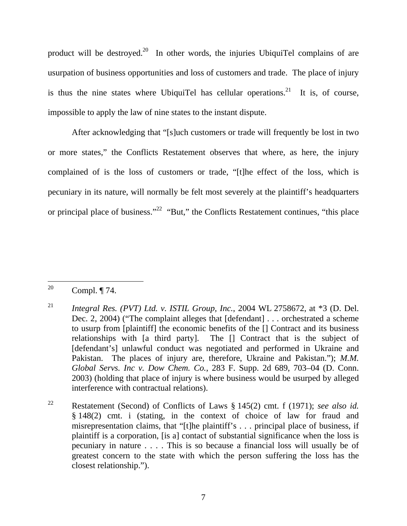product will be destroyed.<sup>20</sup> In other words, the injuries UbiquiTel complains of are usurpation of business opportunities and loss of customers and trade. The place of injury is thus the nine states where UbiquiTel has cellular operations.<sup>21</sup> It is, of course, impossible to apply the law of nine states to the instant dispute.

After acknowledging that "[s]uch customers or trade will frequently be lost in two or more states," the Conflicts Restatement observes that where, as here, the injury complained of is the loss of customers or trade, "[t]he effect of the loss, which is pecuniary in its nature, will normally be felt most severely at the plaintiff's headquarters or principal place of business."<sup>22</sup> "But," the Conflicts Restatement continues, "this place

<sup>&</sup>lt;sup>20</sup> Compl.  $\P$  74.

<sup>21</sup> *Integral Res. (PVT) Ltd. v. ISTIL Group, Inc.*, 2004 WL 2758672, at \*3 (D. Del. Dec. 2, 2004) ("The complaint alleges that [defendant] . . . orchestrated a scheme to usurp from [plaintiff] the economic benefits of the [] Contract and its business relationships with [a third party]. The [] Contract that is the subject of [defendant's] unlawful conduct was negotiated and performed in Ukraine and Pakistan. The places of injury are, therefore, Ukraine and Pakistan."); *M.M. Global Servs. Inc v. Dow Chem. Co.*, 283 F. Supp. 2d 689, 703–04 (D. Conn. 2003) (holding that place of injury is where business would be usurped by alleged interference with contractual relations).

<sup>22</sup> Restatement (Second) of Conflicts of Laws § 145(2) cmt. f (1971); *see also id.* § 148(2) cmt. i (stating, in the context of choice of law for fraud and misrepresentation claims, that "[t]he plaintiff's . . . principal place of business, if plaintiff is a corporation, [is a] contact of substantial significance when the loss is pecuniary in nature . . . . This is so because a financial loss will usually be of greatest concern to the state with which the person suffering the loss has the closest relationship.").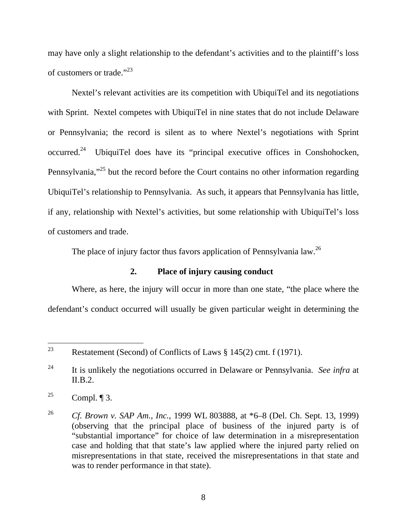may have only a slight relationship to the defendant's activities and to the plaintiff's loss of customers or trade."<sup>23</sup>

Nextel's relevant activities are its competition with UbiquiTel and its negotiations with Sprint. Nextel competes with UbiquiTel in nine states that do not include Delaware or Pennsylvania; the record is silent as to where Nextel's negotiations with Sprint occurred.24 UbiquiTel does have its "principal executive offices in Conshohocken, Pennsylvania,<sup>"25</sup> but the record before the Court contains no other information regarding UbiquiTel's relationship to Pennsylvania. As such, it appears that Pennsylvania has little, if any, relationship with Nextel's activities, but some relationship with UbiquiTel's loss of customers and trade.

The place of injury factor thus favors application of Pennsylvania law.<sup>26</sup>

## **2. Place of injury causing conduct**

Where, as here, the injury will occur in more than one state, "the place where the defendant's conduct occurred will usually be given particular weight in determining the

<sup>23</sup> Restatement (Second) of Conflicts of Laws § 145(2) cmt. f (1971).

<sup>24</sup> It is unlikely the negotiations occurred in Delaware or Pennsylvania. *See infra* at II.B.2.

<sup>&</sup>lt;sup>25</sup> Compl. ¶ 3.

<sup>26</sup> *Cf. Brown v. SAP Am., Inc.*, 1999 WL 803888, at \*6–8 (Del. Ch. Sept. 13, 1999) (observing that the principal place of business of the injured party is of "substantial importance" for choice of law determination in a misrepresentation case and holding that that state's law applied where the injured party relied on misrepresentations in that state, received the misrepresentations in that state and was to render performance in that state).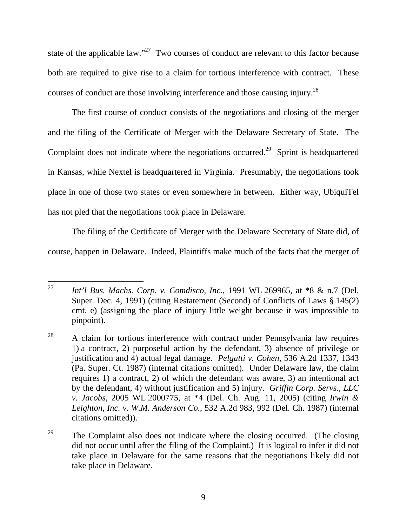state of the applicable law."<sup>27</sup> Two courses of conduct are relevant to this factor because both are required to give rise to a claim for tortious interference with contract. These courses of conduct are those involving interference and those causing injury.28

The first course of conduct consists of the negotiations and closing of the merger and the filing of the Certificate of Merger with the Delaware Secretary of State. The Complaint does not indicate where the negotiations occurred.<sup>29</sup> Sprint is headquartered in Kansas, while Nextel is headquartered in Virginia. Presumably, the negotiations took place in one of those two states or even somewhere in between. Either way, UbiquiTel has not pled that the negotiations took place in Delaware.

The filing of the Certificate of Merger with the Delaware Secretary of State did, of course, happen in Delaware. Indeed, Plaintiffs make much of the facts that the merger of

<sup>27</sup> <sup>27</sup> *Int'l Bus. Machs. Corp. v. Comdisco, Inc.*, 1991 WL 269965, at \*8 & n.7 (Del. Super. Dec. 4, 1991) (citing Restatement (Second) of Conflicts of Laws § 145(2) cmt. e) (assigning the place of injury little weight because it was impossible to pinpoint).

 $28$  A claim for tortious interference with contract under Pennsylvania law requires 1) a contract, 2) purposeful action by the defendant, 3) absence of privilege or justification and 4) actual legal damage. *Pelgatti v. Cohen*, 536 A.2d 1337, 1343 (Pa. Super. Ct. 1987) (internal citations omitted). Under Delaware law, the claim requires 1) a contract, 2) of which the defendant was aware, 3) an intentional act by the defendant, 4) without justification and 5) injury. *Griffin Corp. Servs., LLC v. Jacobs*, 2005 WL 2000775, at \*4 (Del. Ch. Aug. 11, 2005) (citing *Irwin & Leighton, Inc. v. W.M. Anderson Co.*, 532 A.2d 983, 992 (Del. Ch. 1987) (internal citations omitted)).

<sup>&</sup>lt;sup>29</sup> The Complaint also does not indicate where the closing occurred. (The closing did not occur until after the filing of the Complaint.) It is logical to infer it did not take place in Delaware for the same reasons that the negotiations likely did not take place in Delaware.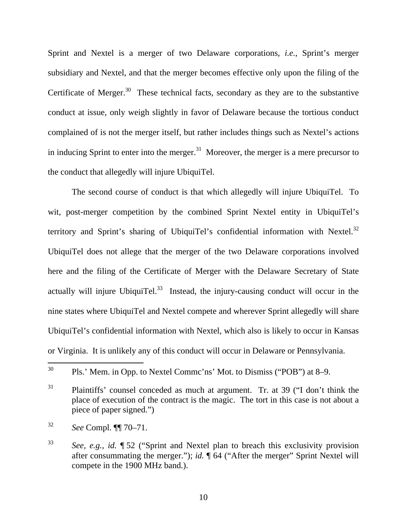Sprint and Nextel is a merger of two Delaware corporations, *i.e.*, Sprint's merger subsidiary and Nextel, and that the merger becomes effective only upon the filing of the Certificate of Merger. $30$  These technical facts, secondary as they are to the substantive conduct at issue, only weigh slightly in favor of Delaware because the tortious conduct complained of is not the merger itself, but rather includes things such as Nextel's actions in inducing Sprint to enter into the merger.<sup>31</sup> Moreover, the merger is a mere precursor to the conduct that allegedly will injure UbiquiTel.

The second course of conduct is that which allegedly will injure UbiquiTel. To wit, post-merger competition by the combined Sprint Nextel entity in UbiquiTel's territory and Sprint's sharing of UbiquiTel's confidential information with Nextel. $32$ UbiquiTel does not allege that the merger of the two Delaware corporations involved here and the filing of the Certificate of Merger with the Delaware Secretary of State actually will injure UbiquiTel. $33$  Instead, the injury-causing conduct will occur in the nine states where UbiquiTel and Nextel compete and wherever Sprint allegedly will share UbiquiTel's confidential information with Nextel, which also is likely to occur in Kansas or Virginia. It is unlikely any of this conduct will occur in Delaware or Pennsylvania.

 $30\,$ 30 Pls.' Mem. in Opp. to Nextel Commc'ns' Mot. to Dismiss ("POB") at 8–9.

<sup>&</sup>lt;sup>31</sup> Plaintiffs' counsel conceded as much at argument. Tr. at 39 ("I don't think the place of execution of the contract is the magic. The tort in this case is not about a piece of paper signed.")

<sup>32</sup> *See* Compl. ¶¶ 70–71.

<sup>33</sup> *See, e.g., id.* ¶ 52 ("Sprint and Nextel plan to breach this exclusivity provision after consummating the merger."); *id.*  $\P$  64 ("After the merger" Sprint Nextel will compete in the 1900 MHz band.).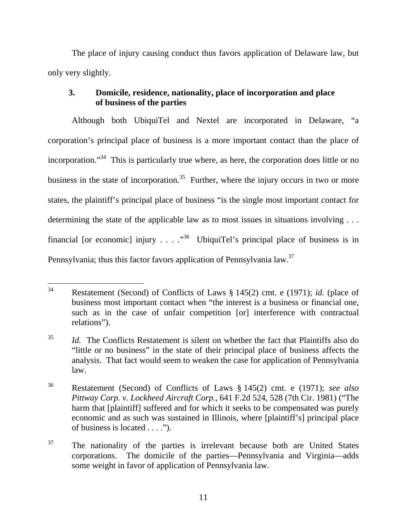The place of injury causing conduct thus favors application of Delaware law, but only very slightly.

# **3. Domicile, residence, nationality, place of incorporation and place of business of the parties**

Although both UbiquiTel and Nextel are incorporated in Delaware, "a corporation's principal place of business is a more important contact than the place of incorporation."<sup>34</sup> This is particularly true where, as here, the corporation does little or no business in the state of incorporation.<sup>35</sup> Further, where the injury occurs in two or more states, the plaintiff's principal place of business "is the single most important contact for determining the state of the applicable law as to most issues in situations involving . . . financial [or economic] injury  $\ldots$  . . .<sup>36</sup> UbiquiTel's principal place of business is in Pennsylvania; thus this factor favors application of Pennsylvania law.<sup>37</sup>

<sup>34</sup> 34 Restatement (Second) of Conflicts of Laws § 145(2) cmt. e (1971); *id.* (place of business most important contact when "the interest is a business or financial one, such as in the case of unfair competition [or] interference with contractual relations").

<sup>35</sup> *Id.* The Conflicts Restatement is silent on whether the fact that Plaintiffs also do "little or no business" in the state of their principal place of business affects the analysis. That fact would seem to weaken the case for application of Pennsylvania law.

<sup>36</sup> Restatement (Second) of Conflicts of Laws § 145(2) cmt. e (1971); *see also Pittway Corp. v. Lockheed Aircraft Corp.*, 641 F.2d 524, 528 (7th Cir. 1981) ("The harm that [plaintiff] suffered and for which it seeks to be compensated was purely economic and as such was sustained in Illinois, where [plaintiff's] principal place of business is located . . . .").

<sup>&</sup>lt;sup>37</sup> The nationality of the parties is irrelevant because both are United States corporations. The domicile of the parties—Pennsylvania and Virginia—adds some weight in favor of application of Pennsylvania law.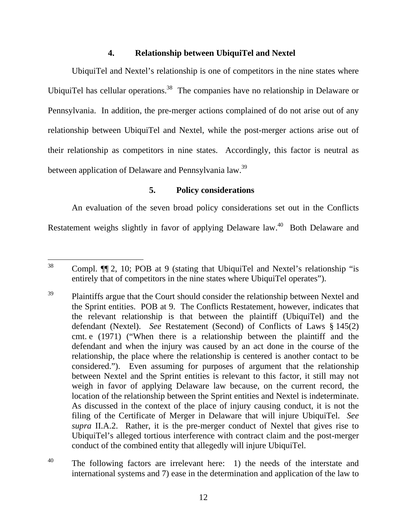## **4. Relationship between UbiquiTel and Nextel**

UbiquiTel and Nextel's relationship is one of competitors in the nine states where UbiquiTel has cellular operations.<sup>38</sup> The companies have no relationship in Delaware or Pennsylvania. In addition, the pre-merger actions complained of do not arise out of any relationship between UbiquiTel and Nextel, while the post-merger actions arise out of their relationship as competitors in nine states. Accordingly, this factor is neutral as between application of Delaware and Pennsylvania law.<sup>39</sup>

## **5. Policy considerations**

An evaluation of the seven broad policy considerations set out in the Conflicts Restatement weighs slightly in favor of applying Delaware law.<sup>40</sup> Both Delaware and

<sup>38</sup> Compl.  $\P$ [2, 10; POB at 9 (stating that UbiquiTel and Nextel's relationship "is entirely that of competitors in the nine states where UbiquiTel operates").

<sup>&</sup>lt;sup>39</sup> Plaintiffs argue that the Court should consider the relationship between Nextel and the Sprint entities. POB at 9. The Conflicts Restatement, however, indicates that the relevant relationship is that between the plaintiff (UbiquiTel) and the defendant (Nextel). *See* Restatement (Second) of Conflicts of Laws § 145(2) cmt. e (1971) ("When there is a relationship between the plaintiff and the defendant and when the injury was caused by an act done in the course of the relationship, the place where the relationship is centered is another contact to be considered."). Even assuming for purposes of argument that the relationship between Nextel and the Sprint entities is relevant to this factor, it still may not weigh in favor of applying Delaware law because, on the current record, the location of the relationship between the Sprint entities and Nextel is indeterminate. As discussed in the context of the place of injury causing conduct, it is not the filing of the Certificate of Merger in Delaware that will injure UbiquiTel. *See supra* II.A.2. Rather, it is the pre-merger conduct of Nextel that gives rise to UbiquiTel's alleged tortious interference with contract claim and the post-merger conduct of the combined entity that allegedly will injure UbiquiTel.

<sup>&</sup>lt;sup>40</sup> The following factors are irrelevant here: 1) the needs of the interstate and international systems and 7) ease in the determination and application of the law to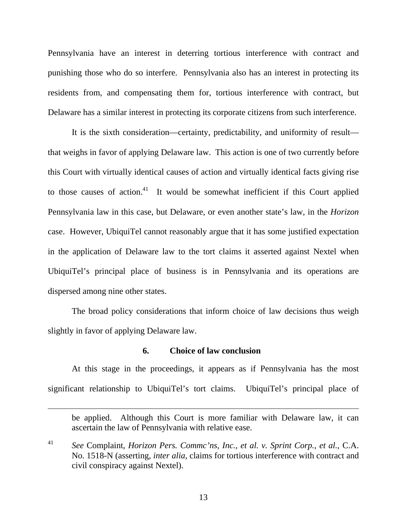Pennsylvania have an interest in deterring tortious interference with contract and punishing those who do so interfere. Pennsylvania also has an interest in protecting its residents from, and compensating them for, tortious interference with contract, but Delaware has a similar interest in protecting its corporate citizens from such interference.

It is the sixth consideration—certainty, predictability, and uniformity of result that weighs in favor of applying Delaware law. This action is one of two currently before this Court with virtually identical causes of action and virtually identical facts giving rise to those causes of action.<sup>41</sup> It would be somewhat inefficient if this Court applied Pennsylvania law in this case, but Delaware, or even another state's law, in the *Horizon* case. However, UbiquiTel cannot reasonably argue that it has some justified expectation in the application of Delaware law to the tort claims it asserted against Nextel when UbiquiTel's principal place of business is in Pennsylvania and its operations are dispersed among nine other states.

The broad policy considerations that inform choice of law decisions thus weigh slightly in favor of applying Delaware law.

#### **6. Choice of law conclusion**

At this stage in the proceedings, it appears as if Pennsylvania has the most significant relationship to UbiquiTel's tort claims. UbiquiTel's principal place of

 $\overline{a}$ 

be applied. Although this Court is more familiar with Delaware law, it can ascertain the law of Pennsylvania with relative ease.

<sup>41</sup> *See* Complaint, *Horizon Pers. Commc'ns, Inc., et al. v. Sprint Corp., et al.*, C.A. No. 1518-N (asserting, *inter alia*, claims for tortious interference with contract and civil conspiracy against Nextel).

13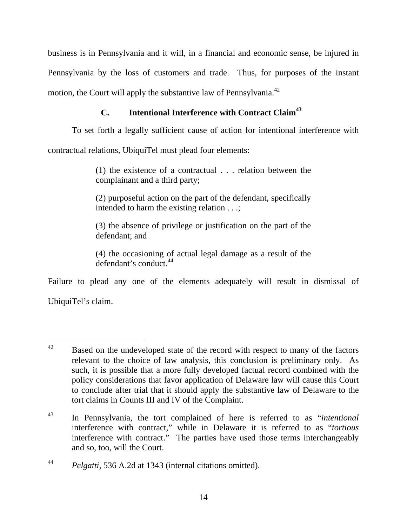business is in Pennsylvania and it will, in a financial and economic sense, be injured in Pennsylvania by the loss of customers and trade. Thus, for purposes of the instant motion, the Court will apply the substantive law of Pennsylvania.<sup>42</sup>

# **C. Intentional Interference with Contract Claim<sup>43</sup>**

To set forth a legally sufficient cause of action for intentional interference with

contractual relations, UbiquiTel must plead four elements:

(1) the existence of a contractual . . . relation between the complainant and a third party;

(2) purposeful action on the part of the defendant, specifically intended to harm the existing relation . . .;

(3) the absence of privilege or justification on the part of the defendant; and

(4) the occasioning of actual legal damage as a result of the defendant's conduct.<sup>44</sup>

Failure to plead any one of the elements adequately will result in dismissal of

UbiquiTel's claim.

<sup>42</sup> Based on the undeveloped state of the record with respect to many of the factors relevant to the choice of law analysis, this conclusion is preliminary only. As such, it is possible that a more fully developed factual record combined with the policy considerations that favor application of Delaware law will cause this Court to conclude after trial that it should apply the substantive law of Delaware to the tort claims in Counts III and IV of the Complaint.

<sup>43</sup> In Pennsylvania, the tort complained of here is referred to as "*intentional* interference with contract," while in Delaware it is referred to as "*tortious* interference with contract." The parties have used those terms interchangeably and so, too, will the Court.

<sup>44</sup> *Pelgatti*, 536 A.2d at 1343 (internal citations omitted).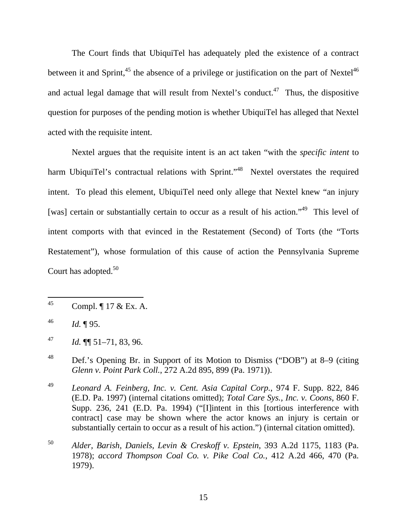The Court finds that UbiquiTel has adequately pled the existence of a contract between it and Sprint,<sup>45</sup> the absence of a privilege or justification on the part of Nextel<sup>46</sup> and actual legal damage that will result from Nextel's conduct.<sup>47</sup> Thus, the dispositive question for purposes of the pending motion is whether UbiquiTel has alleged that Nextel acted with the requisite intent.

Nextel argues that the requisite intent is an act taken "with the *specific intent* to harm UbiquiTel's contractual relations with Sprint."<sup>48</sup> Nextel overstates the required intent. To plead this element, UbiquiTel need only allege that Nextel knew "an injury [was] certain or substantially certain to occur as a result of his action."<sup>49</sup> This level of intent comports with that evinced in the Restatement (Second) of Torts (the "Torts Restatement"), whose formulation of this cause of action the Pennsylvania Supreme Court has adopted.<sup>50</sup>

48 Def.'s Opening Br. in Support of its Motion to Dismiss ("DOB") at 8–9 (citing *Glenn v. Point Park Coll.*, 272 A.2d 895, 899 (Pa. 1971)).

<sup>45</sup> Compl.  $\P$  17 & Ex. A.

<sup>46</sup> *Id.* ¶ 95.

<sup>&</sup>lt;sup>47</sup> *Id.*  $\P\P$  51–71, 83, 96.

<sup>49</sup> *Leonard A. Feinberg, Inc. v. Cent. Asia Capital Corp.*, 974 F. Supp. 822, 846 (E.D. Pa. 1997) (internal citations omitted); *Total Care Sys., Inc. v. Coons*, 860 F. Supp. 236, 241 (E.D. Pa. 1994) ("[I]intent in this [tortious interference with contract] case may be shown where the actor knows an injury is certain or substantially certain to occur as a result of his action.") (internal citation omitted).

<sup>50</sup> *Alder, Barish, Daniels, Levin & Creskoff v. Epstein*, 393 A.2d 1175, 1183 (Pa. 1978); *accord Thompson Coal Co. v. Pike Coal Co.*, 412 A.2d 466, 470 (Pa. 1979).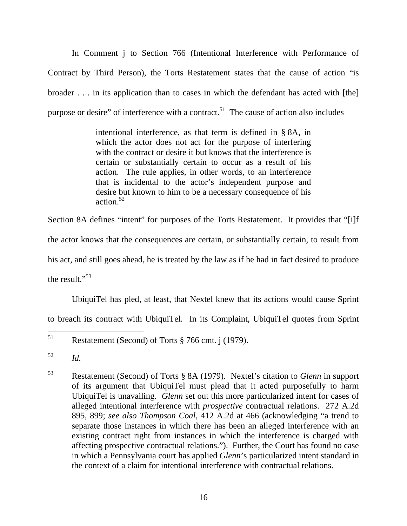In Comment j to Section 766 (Intentional Interference with Performance of Contract by Third Person), the Torts Restatement states that the cause of action "is broader . . . in its application than to cases in which the defendant has acted with [the] purpose or desire" of interference with a contract.<sup>51</sup> The cause of action also includes

> intentional interference, as that term is defined in § 8A, in which the actor does not act for the purpose of interfering with the contract or desire it but knows that the interference is certain or substantially certain to occur as a result of his action. The rule applies, in other words, to an interference that is incidental to the actor's independent purpose and desire but known to him to be a necessary consequence of his action. $52$

Section 8A defines "intent" for purposes of the Torts Restatement. It provides that "[i]f the actor knows that the consequences are certain, or substantially certain, to result from his act, and still goes ahead, he is treated by the law as if he had in fact desired to produce the result $"53$ 

UbiquiTel has pled, at least, that Nextel knew that its actions would cause Sprint

to breach its contract with UbiquiTel. In its Complaint, UbiquiTel quotes from Sprint

<sup>51</sup> Restatement (Second) of Torts § 766 cmt. j (1979).

 $16^{52}$  *Id.* 

<sup>53</sup> Restatement (Second) of Torts § 8A (1979). Nextel's citation to *Glenn* in support of its argument that UbiquiTel must plead that it acted purposefully to harm UbiquiTel is unavailing. *Glenn* set out this more particularized intent for cases of alleged intentional interference with *prospective* contractual relations. 272 A.2d 895, 899; *see also Thompson Coal*, 412 A.2d at 466 (acknowledging "a trend to separate those instances in which there has been an alleged interference with an existing contract right from instances in which the interference is charged with affecting prospective contractual relations."). Further, the Court has found no case in which a Pennsylvania court has applied *Glenn*'s particularized intent standard in the context of a claim for intentional interference with contractual relations.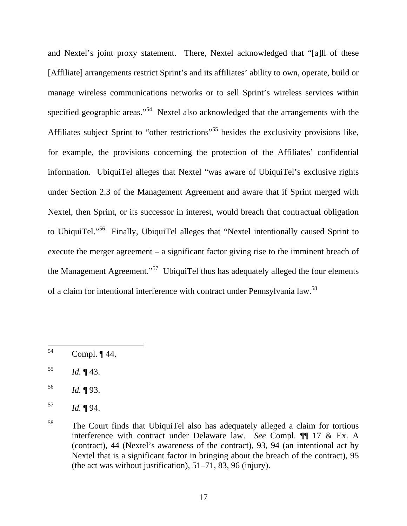and Nextel's joint proxy statement. There, Nextel acknowledged that "[a]ll of these [Affiliate] arrangements restrict Sprint's and its affiliates' ability to own, operate, build or manage wireless communications networks or to sell Sprint's wireless services within specified geographic areas."<sup>54</sup> Nextel also acknowledged that the arrangements with the Affiliates subject Sprint to "other restrictions"<sup>55</sup> besides the exclusivity provisions like, for example, the provisions concerning the protection of the Affiliates' confidential information. UbiquiTel alleges that Nextel "was aware of UbiquiTel's exclusive rights under Section 2.3 of the Management Agreement and aware that if Sprint merged with Nextel, then Sprint, or its successor in interest, would breach that contractual obligation to UbiquiTel."56 Finally, UbiquiTel alleges that "Nextel intentionally caused Sprint to execute the merger agreement – a significant factor giving rise to the imminent breach of the Management Agreement."<sup>57</sup> UbiquiTel thus has adequately alleged the four elements of a claim for intentional interference with contract under Pennsylvania law.58

56 *Id.* ¶ 93.

<sup>54</sup> Compl.  $\P$  44.

 $1d. \P 43.$ 

<sup>57</sup> *Id.* ¶ 94.

<sup>58</sup> The Court finds that UbiquiTel also has adequately alleged a claim for tortious interference with contract under Delaware law. *See* Compl. ¶¶ 17 & Ex. A (contract), 44 (Nextel's awareness of the contract), 93, 94 (an intentional act by Nextel that is a significant factor in bringing about the breach of the contract), 95 (the act was without justification), 51–71, 83, 96 (injury).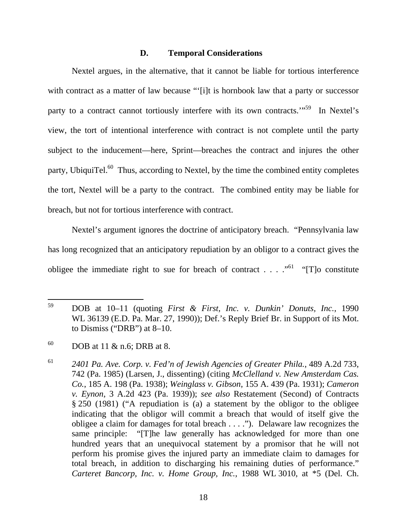#### **D. Temporal Considerations**

Nextel argues, in the alternative, that it cannot be liable for tortious interference with contract as a matter of law because "'[i]t is hornbook law that a party or successor party to a contract cannot tortiously interfere with its own contracts."<sup>59</sup> In Nextel's view, the tort of intentional interference with contract is not complete until the party subject to the inducement—here, Sprint—breaches the contract and injures the other party, UbiquiTel.<sup>60</sup> Thus, according to Nextel, by the time the combined entity completes the tort, Nextel will be a party to the contract. The combined entity may be liable for breach, but not for tortious interference with contract.

Nextel's argument ignores the doctrine of anticipatory breach. "Pennsylvania law has long recognized that an anticipatory repudiation by an obligor to a contract gives the obligee the immediate right to sue for breach of contract  $\dots$  ...  $\cdot$ <sup>61</sup> "[T]o constitute

<sup>59</sup> 59 DOB at 10–11 (quoting *First & First, Inc. v. Dunkin' Donuts, Inc.*, 1990 WL 36139 (E.D. Pa. Mar. 27, 1990)); Def.'s Reply Brief Br. in Support of its Mot. to Dismiss ("DRB") at 8–10.

<sup>60</sup> DOB at 11 & n.6; DRB at 8.

<sup>61</sup> *2401 Pa. Ave. Corp. v. Fed'n of Jewish Agencies of Greater Phila.*, 489 A.2d 733, 742 (Pa. 1985) (Larsen, J., dissenting) (citing *McClelland v. New Amsterdam Cas. Co.*, 185 A. 198 (Pa. 1938); *Weinglass v. Gibson*, 155 A. 439 (Pa. 1931); *Cameron v. Eynon*, 3 A.2d 423 (Pa. 1939)); *see also* Restatement (Second) of Contracts § 250 (1981) ("A repudiation is (a) a statement by the obligor to the obligee indicating that the obligor will commit a breach that would of itself give the obligee a claim for damages for total breach . . . ."). Delaware law recognizes the same principle: "[T]he law generally has acknowledged for more than one hundred years that an unequivocal statement by a promisor that he will not perform his promise gives the injured party an immediate claim to damages for total breach, in addition to discharging his remaining duties of performance." *Carteret Bancorp, Inc. v. Home Group, Inc.*, 1988 WL 3010, at \*5 (Del. Ch.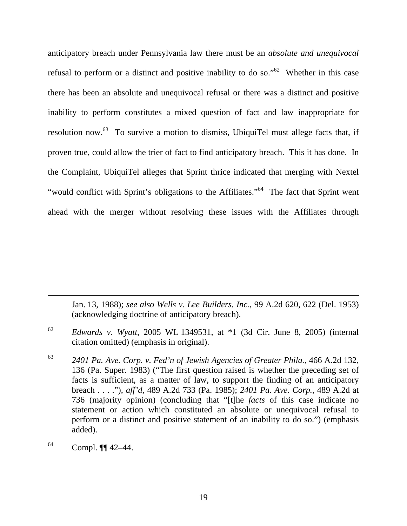anticipatory breach under Pennsylvania law there must be an *absolute and unequivocal* refusal to perform or a distinct and positive inability to do so."<sup>62</sup> Whether in this case there has been an absolute and unequivocal refusal or there was a distinct and positive inability to perform constitutes a mixed question of fact and law inappropriate for resolution now.63 To survive a motion to dismiss, UbiquiTel must allege facts that, if proven true, could allow the trier of fact to find anticipatory breach. This it has done. In the Complaint, UbiquiTel alleges that Sprint thrice indicated that merging with Nextel "would conflict with Sprint's obligations to the Affiliates."64 The fact that Sprint went ahead with the merger without resolving these issues with the Affiliates through

Jan. 13, 1988); *see also Wells v. Lee Builders, Inc.*, 99 A.2d 620, 622 (Del. 1953) (acknowledging doctrine of anticipatory breach).

<sup>62</sup> *Edwards v. Wyatt*, 2005 WL 1349531, at \*1 (3d Cir. June 8, 2005) (internal citation omitted) (emphasis in original).

<sup>63</sup> *2401 Pa. Ave. Corp. v. Fed'n of Jewish Agencies of Greater Phila.*, 466 A.2d 132, 136 (Pa. Super. 1983) ("The first question raised is whether the preceding set of facts is sufficient, as a matter of law, to support the finding of an anticipatory breach . . . ."), *aff'd,* 489 A.2d 733 (Pa. 1985); *2401 Pa. Ave. Corp.*, 489 A.2d at 736 (majority opinion) (concluding that "[t]he *facts* of this case indicate no statement or action which constituted an absolute or unequivocal refusal to perform or a distinct and positive statement of an inability to do so.") (emphasis added).

 $64$  Compl.  $\P\P$ 42–44.

 $\overline{a}$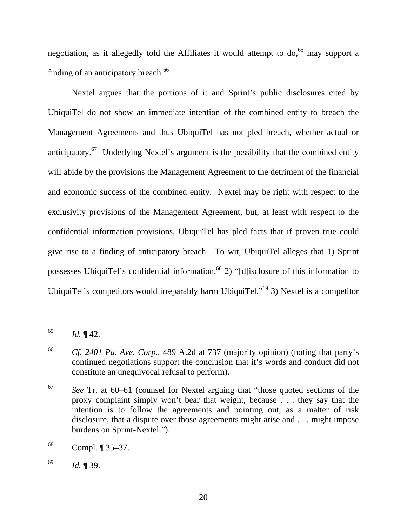negotiation, as it allegedly told the Affiliates it would attempt to  $do<sub>0</sub>$ <sup>65</sup> may support a finding of an anticipatory breach. $^{66}$ 

Nextel argues that the portions of it and Sprint's public disclosures cited by UbiquiTel do not show an immediate intention of the combined entity to breach the Management Agreements and thus UbiquiTel has not pled breach, whether actual or anticipatory.<sup>67</sup> Underlying Nextel's argument is the possibility that the combined entity will abide by the provisions the Management Agreement to the detriment of the financial and economic success of the combined entity. Nextel may be right with respect to the exclusivity provisions of the Management Agreement, but, at least with respect to the confidential information provisions, UbiquiTel has pled facts that if proven true could give rise to a finding of anticipatory breach. To wit, UbiquiTel alleges that 1) Sprint possesses UbiquiTel's confidential information,<sup>68</sup> 2) "[d]isclosure of this information to UbiquiTel's competitors would irreparably harm UbiquiTel,"<sup>69</sup> 3) Nextel is a competitor

 $\overline{a}$ 

 $1d. \P 42.$ 

<sup>66</sup> *Cf. 2401 Pa. Ave. Corp.*, 489 A.2d at 737 (majority opinion) (noting that party's continued negotiations support the conclusion that it's words and conduct did not constitute an unequivocal refusal to perform).

<sup>67</sup> *See* Tr. at 60–61 (counsel for Nextel arguing that "those quoted sections of the proxy complaint simply won't bear that weight, because . . . they say that the intention is to follow the agreements and pointing out, as a matter of risk disclosure, that a dispute over those agreements might arise and . . . might impose burdens on Sprint-Nextel.").

<sup>68</sup> Compl. ¶ 35–37.

<sup>69</sup> *Id.* ¶ 39.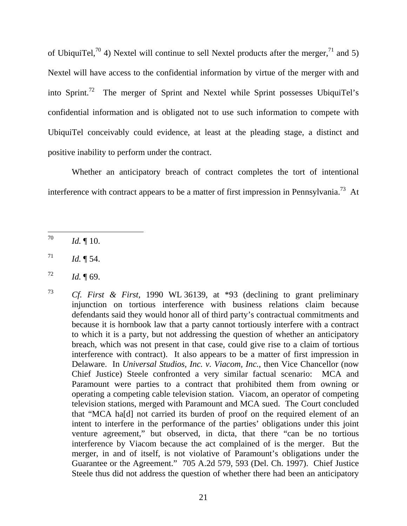of UbiquiTel,<sup>70</sup> 4) Nextel will continue to sell Nextel products after the merger,<sup>71</sup> and 5) Nextel will have access to the confidential information by virtue of the merger with and into Sprint.72 The merger of Sprint and Nextel while Sprint possesses UbiquiTel's confidential information and is obligated not to use such information to compete with UbiquiTel conceivably could evidence, at least at the pleading stage, a distinct and positive inability to perform under the contract.

Whether an anticipatory breach of contract completes the tort of intentional interference with contract appears to be a matter of first impression in Pennsylvania.<sup>73</sup> At

- 70 *Id.*  $\P$  10.
- $^{71}$  *Id.*  $\sqrt{54}$ .
- $^{72}$  *Id.* 169.
- <sup>73</sup> *Cf. First & First*, 1990 WL 36139, at \*93 (declining to grant preliminary injunction on tortious interference with business relations claim because defendants said they would honor all of third party's contractual commitments and because it is hornbook law that a party cannot tortiously interfere with a contract to which it is a party, but not addressing the question of whether an anticipatory breach, which was not present in that case, could give rise to a claim of tortious interference with contract). It also appears to be a matter of first impression in Delaware. In *Universal Studios, Inc. v. Viacom, Inc.*, then Vice Chancellor (now Chief Justice) Steele confronted a very similar factual scenario: MCA and Paramount were parties to a contract that prohibited them from owning or operating a competing cable television station. Viacom, an operator of competing television stations, merged with Paramount and MCA sued. The Court concluded that "MCA ha[d] not carried its burden of proof on the required element of an intent to interfere in the performance of the parties' obligations under this joint venture agreement," but observed, in dicta, that there "can be no tortious interference by Viacom because the act complained of is the merger. But the merger, in and of itself, is not violative of Paramount's obligations under the Guarantee or the Agreement." 705 A.2d 579, 593 (Del. Ch. 1997). Chief Justice Steele thus did not address the question of whether there had been an anticipatory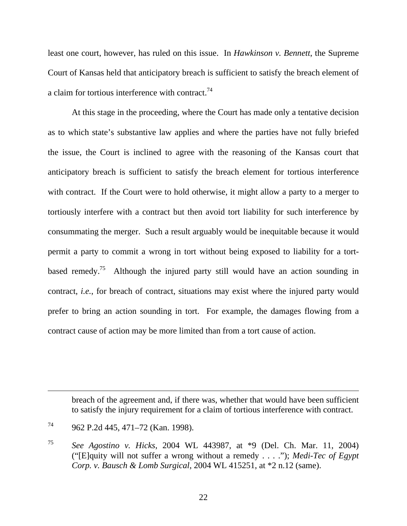least one court, however, has ruled on this issue. In *Hawkinson v. Bennett*, the Supreme Court of Kansas held that anticipatory breach is sufficient to satisfy the breach element of a claim for tortious interference with contract.<sup>74</sup>

At this stage in the proceeding, where the Court has made only a tentative decision as to which state's substantive law applies and where the parties have not fully briefed the issue, the Court is inclined to agree with the reasoning of the Kansas court that anticipatory breach is sufficient to satisfy the breach element for tortious interference with contract. If the Court were to hold otherwise, it might allow a party to a merger to tortiously interfere with a contract but then avoid tort liability for such interference by consummating the merger. Such a result arguably would be inequitable because it would permit a party to commit a wrong in tort without being exposed to liability for a tortbased remedy.<sup>75</sup> Although the injured party still would have an action sounding in contract, *i.e.*, for breach of contract, situations may exist where the injured party would prefer to bring an action sounding in tort. For example, the damages flowing from a contract cause of action may be more limited than from a tort cause of action.

breach of the agreement and, if there was, whether that would have been sufficient to satisfy the injury requirement for a claim of tortious interference with contract.

 $\overline{a}$ 

<sup>74 962</sup> P.2d 445, 471–72 (Kan. 1998).

<sup>75</sup> *See Agostino v. Hicks*, 2004 WL 443987, at \*9 (Del. Ch. Mar. 11, 2004) ("[E]quity will not suffer a wrong without a remedy . . . ."); *Medi-Tec of Egypt Corp. v. Bausch & Lomb Surgical*, 2004 WL 415251, at \*2 n.12 (same).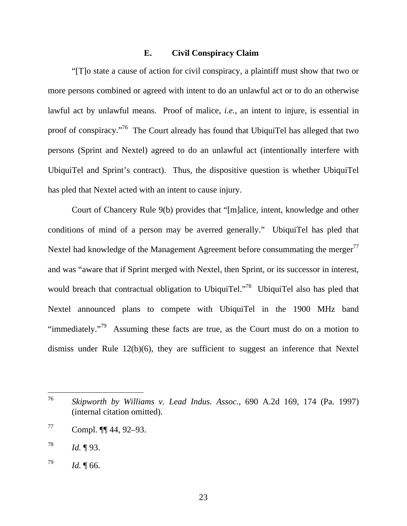#### **E. Civil Conspiracy Claim**

"[T]o state a cause of action for civil conspiracy, a plaintiff must show that two or more persons combined or agreed with intent to do an unlawful act or to do an otherwise lawful act by unlawful means. Proof of malice, *i.e.*, an intent to injure, is essential in proof of conspiracy."76 The Court already has found that UbiquiTel has alleged that two persons (Sprint and Nextel) agreed to do an unlawful act (intentionally interfere with UbiquiTel and Sprint's contract). Thus, the dispositive question is whether UbiquiTel has pled that Nextel acted with an intent to cause injury.

Court of Chancery Rule 9(b) provides that "[m]alice, intent, knowledge and other conditions of mind of a person may be averred generally." UbiquiTel has pled that Nextel had knowledge of the Management Agreement before consummating the merger<sup>77</sup> and was "aware that if Sprint merged with Nextel, then Sprint, or its successor in interest, would breach that contractual obligation to UbiquiTel."<sup>78</sup> UbiquiTel also has pled that Nextel announced plans to compete with UbiquiTel in the 1900 MHz band "immediately."<sup>79</sup> Assuming these facts are true, as the Court must do on a motion to dismiss under Rule 12(b)(6), they are sufficient to suggest an inference that Nextel

<sup>76</sup> <sup>76</sup> *Skipworth by Williams v. Lead Indus. Assoc.*, 690 A.2d 169, 174 (Pa. 1997) (internal citation omitted).

 $77$  Compl.  $\P$  44, 92–93.

 $1d. \P 93.$ 

 $1d. \P 66.$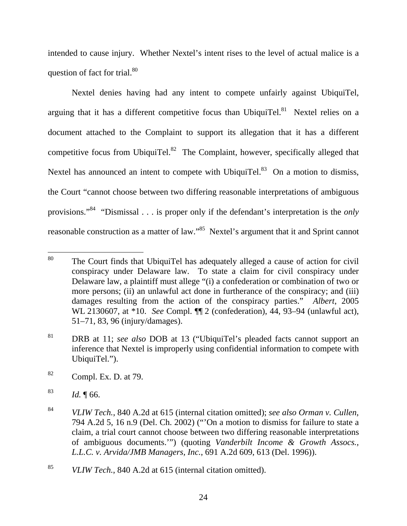intended to cause injury. Whether Nextel's intent rises to the level of actual malice is a question of fact for trial.<sup>80</sup>

Nextel denies having had any intent to compete unfairly against UbiquiTel, arguing that it has a different competitive focus than UbiquiTel. $81$  Nextel relies on a document attached to the Complaint to support its allegation that it has a different competitive focus from UbiquiTel. $82$  The Complaint, however, specifically alleged that Nextel has announced an intent to compete with UbiquiTel.<sup>83</sup> On a motion to dismiss, the Court "cannot choose between two differing reasonable interpretations of ambiguous provisions."84 "Dismissal . . . is proper only if the defendant's interpretation is the *only*  reasonable construction as a matter of law."85 Nextel's argument that it and Sprint cannot

<sup>80</sup> The Court finds that UbiquiTel has adequately alleged a cause of action for civil conspiracy under Delaware law. To state a claim for civil conspiracy under Delaware law, a plaintiff must allege "(i) a confederation or combination of two or more persons; (ii) an unlawful act done in furtherance of the conspiracy; and (iii) damages resulting from the action of the conspiracy parties." *Albert*, 2005 WL 2130607, at \*10. *See* Compl. ¶¶ 2 (confederation), 44, 93–94 (unlawful act), 51–71, 83, 96 (injury/damages).

<sup>81</sup> DRB at 11; *see also* DOB at 13 ("UbiquiTel's pleaded facts cannot support an inference that Nextel is improperly using confidential information to compete with UbiquiTel.").

 $82$  Compl. Ex. D. at 79.

<sup>83</sup> *Id.* ¶ 66.

<sup>84</sup> *VLIW Tech.*, 840 A.2d at 615 (internal citation omitted); *see also Orman v. Cullen*, 794 A.2d 5, 16 n.9 (Del. Ch. 2002) ("'On a motion to dismiss for failure to state a claim, a trial court cannot choose between two differing reasonable interpretations of ambiguous documents.'") (quoting *Vanderbilt Income & Growth Assocs., L.L.C. v. Arvida/JMB Managers, Inc.*, 691 A.2d 609, 613 (Del. 1996)).

<sup>85</sup> *VLIW Tech.*, 840 A.2d at 615 (internal citation omitted).